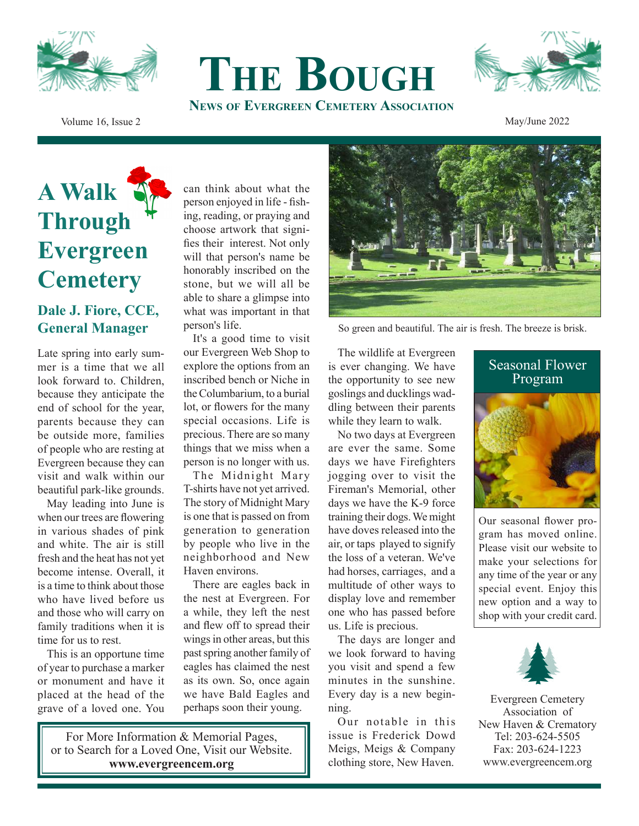



Volume 16, Issue 2 May/June 2022

## **A Walk Through Evergreen Cemetery**

## **Dale J. Fiore, CCE, General Manager**

Late spring into early summer is a time that we all look forward to. Children, because they anticipate the end of school for the year, parents because they can be outside more, families of people who are resting at Evergreen because they can visit and walk within our beautiful park-like grounds.

May leading into June is when our trees are flowering in various shades of pink and white. The air is still fresh and the heat has not yet become intense. Overall, it is a time to think about those who have lived before us and those who will carry on family traditions when it is time for us to rest.

This is an opportune time of year to purchase a marker or monument and have it placed at the head of the grave of a loved one. You can think about what the person enjoyed in life - fishing, reading, or praying and choose artwork that signifies their interest. Not only will that person's name be honorably inscribed on the stone, but we will all be able to share a glimpse into what was important in that person's life.

**The Bough**

**News of Evergreen Cemetery Association**

It's a good time to visit our Evergreen Web Shop to explore the options from an inscribed bench or Niche in the Columbarium, to a burial lot, or flowers for the many special occasions. Life is precious. There are so many things that we miss when a person is no longer with us.

The Midnight Mary T-shirts have not yet arrived. The story of Midnight Mary is one that is passed on from generation to generation by people who live in the neighborhood and New Haven environs.

There are eagles back in the nest at Evergreen. For a while, they left the nest and flew off to spread their wings in other areas, but this past spring another family of eagles has claimed the nest as its own. So, once again we have Bald Eagles and perhaps soon their young.

For More Information & Memorial Pages, or to Search for a Loved One, Visit our Website. **www.evergreencem.org**



So green and beautiful. The air is fresh. The breeze is brisk.

The wildlife at Evergreen is ever changing. We have the opportunity to see new goslings and ducklings waddling between their parents while they learn to walk.

No two days at Evergreen are ever the same. Some days we have Firefighters jogging over to visit the Fireman's Memorial, other days we have the K-9 force training their dogs. We might have doves released into the air, or taps played to signify the loss of a veteran. We've had horses, carriages, and a multitude of other ways to display love and remember one who has passed before us. Life is precious.

The days are longer and we look forward to having you visit and spend a few minutes in the sunshine. Every day is a new beginning.

Our notable in this issue is Frederick Dowd Meigs, Meigs & Company clothing store, New Haven.



Our seasonal flower program has moved online. Please visit our website to make your selections for any time of the year or any special event. Enjoy this new option and a way to shop with your credit card.



Evergreen Cemetery Association of New Haven & Crematory Tel: 203-624-5505 Fax: 203-624-1223 www.evergreencem.org